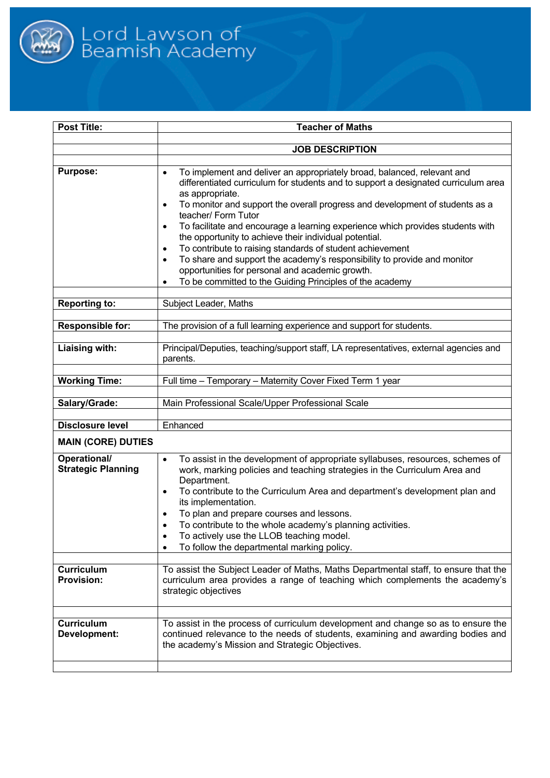

| Post Title:                               | <b>Teacher of Maths</b>                                                                                                                                                                                                                                                                                                                                                                                                                                                                                                                                                                                                                                                                                                                                                   |  |
|-------------------------------------------|---------------------------------------------------------------------------------------------------------------------------------------------------------------------------------------------------------------------------------------------------------------------------------------------------------------------------------------------------------------------------------------------------------------------------------------------------------------------------------------------------------------------------------------------------------------------------------------------------------------------------------------------------------------------------------------------------------------------------------------------------------------------------|--|
|                                           | <b>JOB DESCRIPTION</b>                                                                                                                                                                                                                                                                                                                                                                                                                                                                                                                                                                                                                                                                                                                                                    |  |
|                                           |                                                                                                                                                                                                                                                                                                                                                                                                                                                                                                                                                                                                                                                                                                                                                                           |  |
| <b>Purpose:</b>                           | To implement and deliver an appropriately broad, balanced, relevant and<br>$\bullet$<br>differentiated curriculum for students and to support a designated curriculum area<br>as appropriate.<br>To monitor and support the overall progress and development of students as a<br>$\bullet$<br>teacher/ Form Tutor<br>To facilitate and encourage a learning experience which provides students with<br>$\bullet$<br>the opportunity to achieve their individual potential.<br>To contribute to raising standards of student achievement<br>$\bullet$<br>To share and support the academy's responsibility to provide and monitor<br>$\bullet$<br>opportunities for personal and academic growth.<br>To be committed to the Guiding Principles of the academy<br>$\bullet$ |  |
| <b>Reporting to:</b>                      | Subject Leader, Maths                                                                                                                                                                                                                                                                                                                                                                                                                                                                                                                                                                                                                                                                                                                                                     |  |
|                                           |                                                                                                                                                                                                                                                                                                                                                                                                                                                                                                                                                                                                                                                                                                                                                                           |  |
| <b>Responsible for:</b>                   | The provision of a full learning experience and support for students.                                                                                                                                                                                                                                                                                                                                                                                                                                                                                                                                                                                                                                                                                                     |  |
| Liaising with:                            | Principal/Deputies, teaching/support staff, LA representatives, external agencies and<br>parents.                                                                                                                                                                                                                                                                                                                                                                                                                                                                                                                                                                                                                                                                         |  |
| <b>Working Time:</b>                      | Full time - Temporary - Maternity Cover Fixed Term 1 year                                                                                                                                                                                                                                                                                                                                                                                                                                                                                                                                                                                                                                                                                                                 |  |
|                                           |                                                                                                                                                                                                                                                                                                                                                                                                                                                                                                                                                                                                                                                                                                                                                                           |  |
| Salary/Grade:                             | Main Professional Scale/Upper Professional Scale                                                                                                                                                                                                                                                                                                                                                                                                                                                                                                                                                                                                                                                                                                                          |  |
| <b>Disclosure level</b>                   | Enhanced                                                                                                                                                                                                                                                                                                                                                                                                                                                                                                                                                                                                                                                                                                                                                                  |  |
| <b>MAIN (CORE) DUTIES</b>                 |                                                                                                                                                                                                                                                                                                                                                                                                                                                                                                                                                                                                                                                                                                                                                                           |  |
|                                           |                                                                                                                                                                                                                                                                                                                                                                                                                                                                                                                                                                                                                                                                                                                                                                           |  |
| Operational/<br><b>Strategic Planning</b> | To assist in the development of appropriate syllabuses, resources, schemes of<br>$\bullet$<br>work, marking policies and teaching strategies in the Curriculum Area and<br>Department.<br>To contribute to the Curriculum Area and department's development plan and<br>$\bullet$<br>its implementation.<br>To plan and prepare courses and lessons.<br>٠<br>To contribute to the whole academy's planning activities.<br>To actively use the LLOB teaching model.<br>To follow the departmental marking policy.                                                                                                                                                                                                                                                          |  |
| <b>Curriculum</b><br><b>Provision:</b>    | To assist the Subject Leader of Maths, Maths Departmental staff, to ensure that the<br>curriculum area provides a range of teaching which complements the academy's<br>strategic objectives                                                                                                                                                                                                                                                                                                                                                                                                                                                                                                                                                                               |  |
| <b>Curriculum</b><br>Development:         | To assist in the process of curriculum development and change so as to ensure the<br>continued relevance to the needs of students, examining and awarding bodies and<br>the academy's Mission and Strategic Objectives.                                                                                                                                                                                                                                                                                                                                                                                                                                                                                                                                                   |  |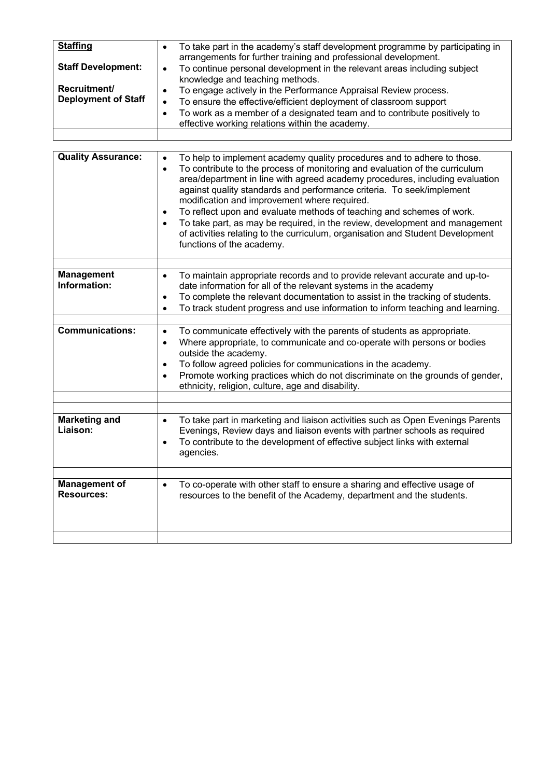| <b>Staffing</b>            | To take part in the academy's staff development programme by participating in<br>$\bullet$<br>arrangements for further training and professional development.            |  |  |
|----------------------------|--------------------------------------------------------------------------------------------------------------------------------------------------------------------------|--|--|
| <b>Staff Development:</b>  | To continue personal development in the relevant areas including subject<br>$\bullet$<br>knowledge and teaching methods.                                                 |  |  |
| Recruitment/               | To engage actively in the Performance Appraisal Review process.<br>٠                                                                                                     |  |  |
| <b>Deployment of Staff</b> | To ensure the effective/efficient deployment of classroom support<br>$\bullet$                                                                                           |  |  |
|                            | To work as a member of a designated team and to contribute positively to<br>$\bullet$                                                                                    |  |  |
|                            | effective working relations within the academy.                                                                                                                          |  |  |
|                            |                                                                                                                                                                          |  |  |
|                            |                                                                                                                                                                          |  |  |
| <b>Quality Assurance:</b>  | To help to implement academy quality procedures and to adhere to those.<br>$\bullet$                                                                                     |  |  |
|                            | To contribute to the process of monitoring and evaluation of the curriculum<br>$\bullet$<br>area/department in line with agreed academy procedures, including evaluation |  |  |
|                            | against quality standards and performance criteria. To seek/implement                                                                                                    |  |  |
|                            | modification and improvement where required.                                                                                                                             |  |  |
|                            | To reflect upon and evaluate methods of teaching and schemes of work.<br>$\bullet$                                                                                       |  |  |
|                            | To take part, as may be required, in the review, development and management<br>$\bullet$                                                                                 |  |  |
|                            | of activities relating to the curriculum, organisation and Student Development                                                                                           |  |  |
|                            | functions of the academy.                                                                                                                                                |  |  |
|                            |                                                                                                                                                                          |  |  |
| <b>Management</b>          | To maintain appropriate records and to provide relevant accurate and up-to-<br>$\bullet$                                                                                 |  |  |
| Information:               | date information for all of the relevant systems in the academy                                                                                                          |  |  |
|                            | To complete the relevant documentation to assist in the tracking of students.<br>٠                                                                                       |  |  |
|                            | To track student progress and use information to inform teaching and learning.<br>$\bullet$                                                                              |  |  |
|                            |                                                                                                                                                                          |  |  |
| <b>Communications:</b>     | To communicate effectively with the parents of students as appropriate.<br>$\bullet$                                                                                     |  |  |
|                            | Where appropriate, to communicate and co-operate with persons or bodies<br>٠                                                                                             |  |  |
|                            | outside the academy.                                                                                                                                                     |  |  |
|                            | To follow agreed policies for communications in the academy.<br>٠                                                                                                        |  |  |
|                            | Promote working practices which do not discriminate on the grounds of gender,<br>$\bullet$                                                                               |  |  |
|                            | ethnicity, religion, culture, age and disability.                                                                                                                        |  |  |
|                            |                                                                                                                                                                          |  |  |
|                            |                                                                                                                                                                          |  |  |
| <b>Marketing and</b>       | To take part in marketing and liaison activities such as Open Evenings Parents<br>$\bullet$                                                                              |  |  |
| Liaison:                   | Evenings, Review days and liaison events with partner schools as required                                                                                                |  |  |
|                            | To contribute to the development of effective subject links with external                                                                                                |  |  |
|                            | agencies.                                                                                                                                                                |  |  |
|                            |                                                                                                                                                                          |  |  |
| <b>Management of</b>       |                                                                                                                                                                          |  |  |
| <b>Resources:</b>          | To co-operate with other staff to ensure a sharing and effective usage of<br>$\bullet$<br>resources to the benefit of the Academy, department and the students.          |  |  |
|                            |                                                                                                                                                                          |  |  |
|                            |                                                                                                                                                                          |  |  |
|                            |                                                                                                                                                                          |  |  |
|                            |                                                                                                                                                                          |  |  |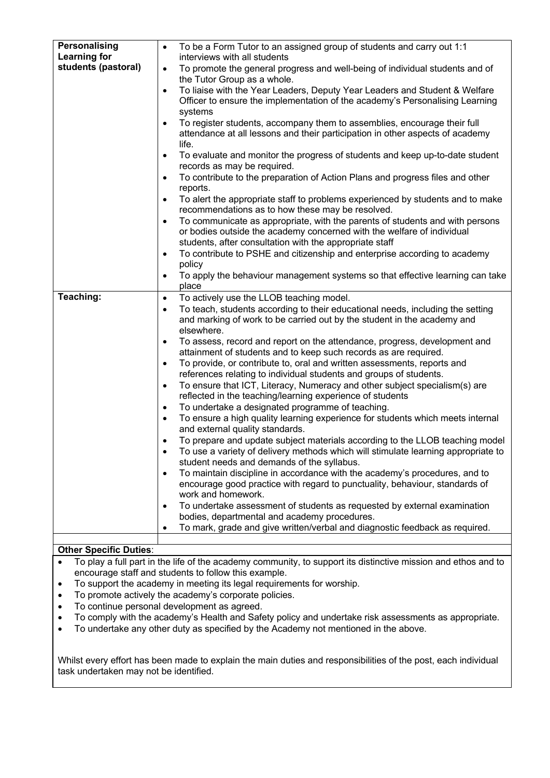| Personalising                 | To be a Form Tutor to an assigned group of students and carry out 1:1<br>$\bullet$                                              |
|-------------------------------|---------------------------------------------------------------------------------------------------------------------------------|
| <b>Learning for</b>           | interviews with all students                                                                                                    |
| students (pastoral)           | To promote the general progress and well-being of individual students and of<br>$\bullet$                                       |
|                               | the Tutor Group as a whole.                                                                                                     |
|                               | To liaise with the Year Leaders, Deputy Year Leaders and Student & Welfare<br>$\bullet$                                         |
|                               | Officer to ensure the implementation of the academy's Personalising Learning                                                    |
|                               | systems                                                                                                                         |
|                               | To register students, accompany them to assemblies, encourage their full<br>$\bullet$                                           |
|                               | attendance at all lessons and their participation in other aspects of academy                                                   |
|                               | life.                                                                                                                           |
|                               | To evaluate and monitor the progress of students and keep up-to-date student<br>$\bullet$                                       |
|                               | records as may be required.                                                                                                     |
|                               | To contribute to the preparation of Action Plans and progress files and other<br>$\bullet$                                      |
|                               | reports.                                                                                                                        |
|                               | To alert the appropriate staff to problems experienced by students and to make<br>$\bullet$                                     |
|                               | recommendations as to how these may be resolved.                                                                                |
|                               | To communicate as appropriate, with the parents of students and with persons<br>$\bullet$                                       |
|                               | or bodies outside the academy concerned with the welfare of individual                                                          |
|                               | students, after consultation with the appropriate staff                                                                         |
|                               | To contribute to PSHE and citizenship and enterprise according to academy<br>٠                                                  |
|                               | policy                                                                                                                          |
|                               | To apply the behaviour management systems so that effective learning can take<br>$\bullet$                                      |
|                               | place                                                                                                                           |
| Teaching:                     | To actively use the LLOB teaching model.<br>$\bullet$                                                                           |
|                               | To teach, students according to their educational needs, including the setting<br>$\bullet$                                     |
|                               | and marking of work to be carried out by the student in the academy and                                                         |
|                               | elsewhere.                                                                                                                      |
|                               | To assess, record and report on the attendance, progress, development and<br>$\bullet$                                          |
|                               | attainment of students and to keep such records as are required.                                                                |
|                               | To provide, or contribute to, oral and written assessments, reports and<br>$\bullet$                                            |
|                               | references relating to individual students and groups of students.                                                              |
|                               | To ensure that ICT, Literacy, Numeracy and other subject specialism(s) are<br>$\bullet$                                         |
|                               | reflected in the teaching/learning experience of students                                                                       |
|                               | To undertake a designated programme of teaching.<br>$\bullet$                                                                   |
|                               | To ensure a high quality learning experience for students which meets internal<br>$\bullet$<br>and external quality standards.  |
|                               |                                                                                                                                 |
|                               | To prepare and update subject materials according to the LLOB teaching model                                                    |
|                               | To use a variety of delivery methods which will stimulate learning appropriate to<br>student needs and demands of the syllabus. |
|                               | To maintain discipline in accordance with the academy's procedures, and to<br>$\bullet$                                         |
|                               | encourage good practice with regard to punctuality, behaviour, standards of                                                     |
|                               | work and homework.                                                                                                              |
|                               | To undertake assessment of students as requested by external examination<br>$\bullet$                                           |
|                               | bodies, departmental and academy procedures.                                                                                    |
|                               | To mark, grade and give written/verbal and diagnostic feedback as required.<br>$\bullet$                                        |
|                               |                                                                                                                                 |
| <b>Other Specific Duties:</b> |                                                                                                                                 |
|                               |                                                                                                                                 |

- To play a full part in the life of the academy community, to support its distinctive mission and ethos and to encourage staff and students to follow this example.
- To support the academy in meeting its legal requirements for worship.
- To promote actively the academy's corporate policies.
- To continue personal development as agreed.
- To comply with the academy's Health and Safety policy and undertake risk assessments as appropriate.
- To undertake any other duty as specified by the Academy not mentioned in the above.

Whilst every effort has been made to explain the main duties and responsibilities of the post, each individual task undertaken may not be identified.